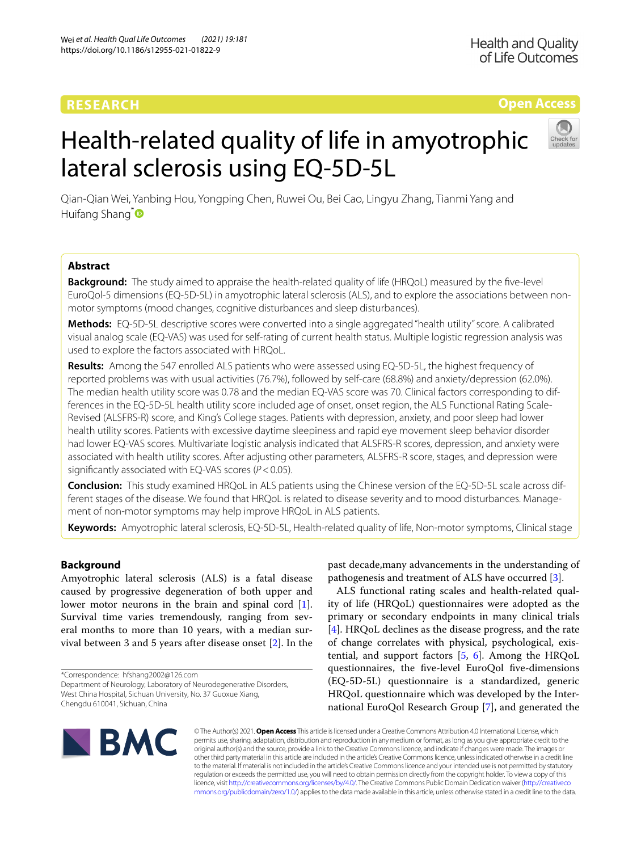# **RESEARCH**

**Health and Quality** of Life Outcomes

## **Open Access**

# Health-related quality of life in amyotrophic lateral sclerosis using EQ-5D-5L



Qian‑Qian Wei, Yanbing Hou, Yongping Chen, Ruwei Ou, Bei Cao, Lingyu Zhang, Tianmi Yang and Huifang Shang<sup>[\\*](http://orcid.org/0000-0003-0947-1151)</sup>

## **Abstract**

**Background:** The study aimed to appraise the health-related quality of life (HRQoL) measured by the fve-level EuroQol-5 dimensions (EQ-5D-5L) in amyotrophic lateral sclerosis (ALS), and to explore the associations between nonmotor symptoms (mood changes, cognitive disturbances and sleep disturbances).

**Methods:** EQ-5D-5L descriptive scores were converted into a single aggregated "health utility" score. A calibrated visual analog scale (EQ-VAS) was used for self-rating of current health status. Multiple logistic regression analysis was used to explore the factors associated with HRQoL.

**Results:** Among the 547 enrolled ALS patients who were assessed using EQ-5D-5L, the highest frequency of reported problems was with usual activities (76.7%), followed by self-care (68.8%) and anxiety/depression (62.0%). The median health utility score was 0.78 and the median EQ-VAS score was 70. Clinical factors corresponding to differences in the EQ-5D-5L health utility score included age of onset, onset region, the ALS Functional Rating Scale-Revised (ALSFRS-R) score, and King's College stages. Patients with depression, anxiety, and poor sleep had lower health utility scores. Patients with excessive daytime sleepiness and rapid eye movement sleep behavior disorder had lower EQ-VAS scores. Multivariate logistic analysis indicated that ALSFRS-R scores, depression, and anxiety were associated with health utility scores. After adjusting other parameters, ALSFRS-R score, stages, and depression were signifcantly associated with EQ-VAS scores (*P*<0.05).

**Conclusion:** This study examined HRQoL in ALS patients using the Chinese version of the EQ-5D-5L scale across dif‑ ferent stages of the disease. We found that HRQoL is related to disease severity and to mood disturbances. Management of non-motor symptoms may help improve HRQoL in ALS patients.

**Keywords:** Amyotrophic lateral sclerosis, EQ-5D-5L, Health-related quality of life, Non-motor symptoms, Clinical stage

## **Background**

Amyotrophic lateral sclerosis (ALS) is a fatal disease caused by progressive degeneration of both upper and lower motor neurons in the brain and spinal cord [\[1](#page-6-0)]. Survival time varies tremendously, ranging from several months to more than 10 years, with a median survival between 3 and 5 years after disease onset [\[2](#page-6-1)]. In the

\*Correspondence: hfshang2002@126.com

Department of Neurology, Laboratory of Neurodegenerative Disorders, West China Hospital, Sichuan University, No. 37 Guoxue Xiang, Chengdu 610041, Sichuan, China

past decade,many advancements in the understanding of pathogenesis and treatment of ALS have occurred [[3\]](#page-6-2).

ALS functional rating scales and health-related quality of life (HRQoL) questionnaires were adopted as the primary or secondary endpoints in many clinical trials [[4\]](#page-6-3). HRQoL declines as the disease progress, and the rate of change correlates with physical, psychological, existential, and support factors [\[5](#page-6-4), [6\]](#page-6-5). Among the HRQoL questionnaires, the fve-level EuroQol fve-dimensions (EQ-5D-5L) questionnaire is a standardized, generic HRQoL questionnaire which was developed by the International EuroQol Research Group [\[7](#page-6-6)], and generated the



© The Author(s) 2021. **Open Access** This article is licensed under a Creative Commons Attribution 4.0 International License, which permits use, sharing, adaptation, distribution and reproduction in any medium or format, as long as you give appropriate credit to the original author(s) and the source, provide a link to the Creative Commons licence, and indicate if changes were made. The images or other third party material in this article are included in the article's Creative Commons licence, unless indicated otherwise in a credit line to the material. If material is not included in the article's Creative Commons licence and your intended use is not permitted by statutory regulation or exceeds the permitted use, you will need to obtain permission directly from the copyright holder. To view a copy of this licence, visit [http://creativecommons.org/licenses/by/4.0/.](http://creativecommons.org/licenses/by/4.0/) The Creative Commons Public Domain Dedication waiver ([http://creativeco](http://creativecommons.org/publicdomain/zero/1.0/) [mmons.org/publicdomain/zero/1.0/](http://creativecommons.org/publicdomain/zero/1.0/)) applies to the data made available in this article, unless otherwise stated in a credit line to the data.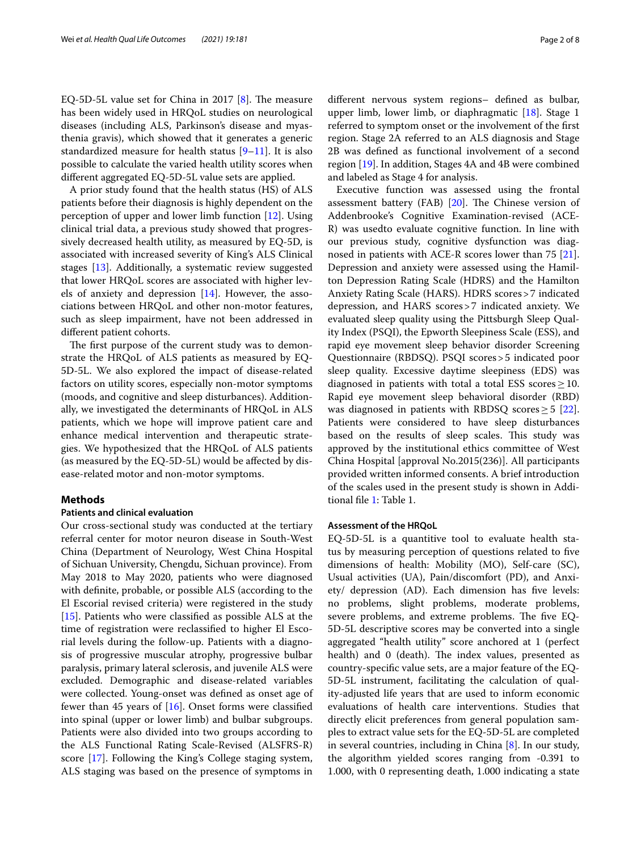EQ-5D-5L value set for China in 2017  $[8]$  $[8]$  $[8]$ . The measure has been widely used in HRQoL studies on neurological diseases (including ALS, Parkinson's disease and myasthenia gravis), which showed that it generates a generic standardized measure for health status  $[9-11]$  $[9-11]$ . It is also possible to calculate the varied health utility scores when diferent aggregated EQ-5D-5L value sets are applied.

A prior study found that the health status (HS) of ALS patients before their diagnosis is highly dependent on the perception of upper and lower limb function [[12](#page-6-10)]. Using clinical trial data, a previous study showed that progressively decreased health utility, as measured by EQ-5D, is associated with increased severity of King's ALS Clinical stages [[13](#page-6-11)]. Additionally, a systematic review suggested that lower HRQoL scores are associated with higher levels of anxiety and depression [[14](#page-6-12)]. However, the associations between HRQoL and other non-motor features, such as sleep impairment, have not been addressed in diferent patient cohorts.

The first purpose of the current study was to demonstrate the HRQoL of ALS patients as measured by EQ-5D-5L. We also explored the impact of disease-related factors on utility scores, especially non-motor symptoms (moods, and cognitive and sleep disturbances). Additionally, we investigated the determinants of HRQoL in ALS patients, which we hope will improve patient care and enhance medical intervention and therapeutic strategies. We hypothesized that the HRQoL of ALS patients (as measured by the EQ-5D-5L) would be afected by disease-related motor and non-motor symptoms.

## **Methods**

## **Patients and clinical evaluation**

Our cross-sectional study was conducted at the tertiary referral center for motor neuron disease in South-West China (Department of Neurology, West China Hospital of Sichuan University, Chengdu, Sichuan province). From May 2018 to May 2020, patients who were diagnosed with defnite, probable, or possible ALS (according to the El Escorial revised criteria) were registered in the study [[15\]](#page-7-0). Patients who were classifed as possible ALS at the time of registration were reclassifed to higher El Escorial levels during the follow-up. Patients with a diagnosis of progressive muscular atrophy, progressive bulbar paralysis, primary lateral sclerosis, and juvenile ALS were excluded. Demographic and disease-related variables were collected. Young-onset was defned as onset age of fewer than 45 years of  $[16]$  $[16]$ . Onset forms were classified into spinal (upper or lower limb) and bulbar subgroups. Patients were also divided into two groups according to the ALS Functional Rating Scale-Revised (ALSFRS-R) score [\[17\]](#page-7-2). Following the King's College staging system, ALS staging was based on the presence of symptoms in diferent nervous system regions– defned as bulbar, upper limb, lower limb, or diaphragmatic [\[18](#page-7-3)]. Stage 1 referred to symptom onset or the involvement of the frst region. Stage 2A referred to an ALS diagnosis and Stage 2B was defned as functional involvement of a second region [\[19](#page-7-4)]. In addition, Stages 4A and 4B were combined and labeled as Stage 4 for analysis.

Executive function was assessed using the frontal assessment battery (FAB)  $[20]$  $[20]$  $[20]$ . The Chinese version of Addenbrooke's Cognitive Examination-revised (ACE-R) was usedto evaluate cognitive function. In line with our previous study, cognitive dysfunction was diagnosed in patients with ACE-R scores lower than 75 [\[21](#page-7-6)]. Depression and anxiety were assessed using the Hamilton Depression Rating Scale (HDRS) and the Hamilton Anxiety Rating Scale (HARS). HDRS scores>7 indicated depression, and HARS scores>7 indicated anxiety. We evaluated sleep quality using the Pittsburgh Sleep Quality Index (PSQI), the Epworth Sleepiness Scale (ESS), and rapid eye movement sleep behavior disorder Screening Questionnaire (RBDSQ). PSQI scores>5 indicated poor sleep quality. Excessive daytime sleepiness (EDS) was diagnosed in patients with total a total ESS scores  $\geq$  10. Rapid eye movement sleep behavioral disorder (RBD) was diagnosed in patients with RBDSQ scores  $\geq$  5 [\[22](#page-7-7)]. Patients were considered to have sleep disturbances based on the results of sleep scales. This study was approved by the institutional ethics committee of West China Hospital [approval No.2015(236)]. All participants provided written informed consents. A brief introduction of the scales used in the present study is shown in Additional fle [1](#page-6-13): Table 1.

#### **Assessment of the HRQoL**

EQ-5D-5L is a quantitive tool to evaluate health status by measuring perception of questions related to fve dimensions of health: Mobility (MO), Self-care (SC), Usual activities (UA), Pain/discomfort (PD), and Anxiety/ depression (AD). Each dimension has five levels: no problems, slight problems, moderate problems, severe problems, and extreme problems. The five EQ-5D-5L descriptive scores may be converted into a single aggregated "health utility" score anchored at 1 (perfect health) and  $0$  (death). The index values, presented as country-specifc value sets, are a major feature of the EQ-5D-5L instrument, facilitating the calculation of quality-adjusted life years that are used to inform economic evaluations of health care interventions. Studies that directly elicit preferences from general population samples to extract value sets for the EQ-5D-5L are completed in several countries, including in China [\[8\]](#page-6-7). In our study, the algorithm yielded scores ranging from -0.391 to 1.000, with 0 representing death, 1.000 indicating a state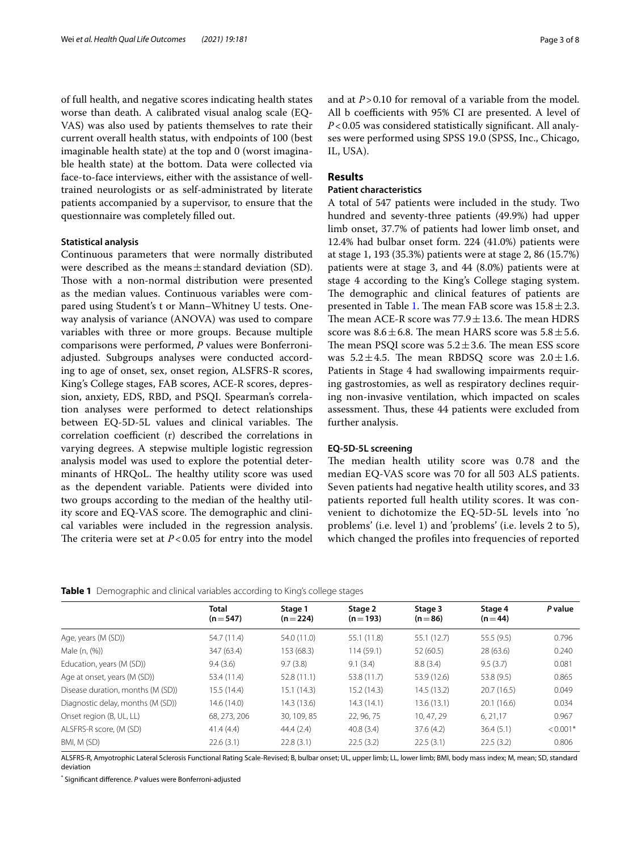of full health, and negative scores indicating health states worse than death. A calibrated visual analog scale (EQ-VAS) was also used by patients themselves to rate their current overall health status, with endpoints of 100 (best imaginable health state) at the top and 0 (worst imaginable health state) at the bottom. Data were collected via face-to-face interviews, either with the assistance of welltrained neurologists or as self-administrated by literate patients accompanied by a supervisor, to ensure that the questionnaire was completely flled out.

#### **Statistical analysis**

Continuous parameters that were normally distributed were described as the means  $\pm$  standard deviation (SD). Those with a non-normal distribution were presented as the median values. Continuous variables were compared using Student's t or Mann–Whitney U tests. Oneway analysis of variance (ANOVA) was used to compare variables with three or more groups. Because multiple comparisons were performed, *P* values were Bonferroniadjusted. Subgroups analyses were conducted according to age of onset, sex, onset region, ALSFRS-R scores, King's College stages, FAB scores, ACE-R scores, depression, anxiety, EDS, RBD, and PSQI. Spearman's correlation analyses were performed to detect relationships between EQ-5D-5L values and clinical variables. The correlation coefficient (r) described the correlations in varying degrees. A stepwise multiple logistic regression analysis model was used to explore the potential determinants of HRQoL. The healthy utility score was used as the dependent variable. Patients were divided into two groups according to the median of the healthy utility score and EQ-VAS score. The demographic and clinical variables were included in the regression analysis. The criteria were set at  $P < 0.05$  for entry into the model and at *P*>0.10 for removal of a variable from the model. All b coefficients with 95% CI are presented. A level of *P*<0.05 was considered statistically signifcant. All analyses were performed using SPSS 19.0 (SPSS, Inc., Chicago, IL, USA).

## **Results**

## **Patient characteristics**

A total of 547 patients were included in the study. Two hundred and seventy-three patients (49.9%) had upper limb onset, 37.7% of patients had lower limb onset, and 12.4% had bulbar onset form. 224 (41.0%) patients were at stage 1, 193 (35.3%) patients were at stage 2, 86 (15.7%) patients were at stage 3, and 44 (8.0%) patients were at stage 4 according to the King's College staging system. The demographic and clinical features of patients are presented in Table [1.](#page-2-0) The mean FAB score was  $15.8 \pm 2.3$ . The mean ACE-R score was  $77.9 \pm 13.6$ . The mean HDRS score was  $8.6 \pm 6.8$ . The mean HARS score was  $5.8 \pm 5.6$ . The mean PSQI score was  $5.2 \pm 3.6$ . The mean ESS score was  $5.2 \pm 4.5$ . The mean RBDSQ score was  $2.0 \pm 1.6$ . Patients in Stage 4 had swallowing impairments requiring gastrostomies, as well as respiratory declines requiring non-invasive ventilation, which impacted on scales assessment. Thus, these 44 patients were excluded from further analysis.

#### **EQ‑5D‑5L screening**

The median health utility score was 0.78 and the median EQ-VAS score was 70 for all 503 ALS patients. Seven patients had negative health utility scores, and 33 patients reported full health utility scores. It was convenient to dichotomize the EQ-5D-5L levels into 'no problems' (i.e. level 1) and 'problems' (i.e. levels 2 to 5), which changed the profles into frequencies of reported

<span id="page-2-0"></span>

| Table 1 Demographic and clinical variables according to King's college stages |
|-------------------------------------------------------------------------------|
|-------------------------------------------------------------------------------|

|                                   | <b>Total</b><br>$(n=547)$ | Stage 1<br>$(n=224)$ | Stage 2<br>$(n=193)$ | Stage 3<br>$(n=86)$ | Stage 4<br>$(n = 44)$ | P value    |
|-----------------------------------|---------------------------|----------------------|----------------------|---------------------|-----------------------|------------|
| Age, years (M (SD))               | 54.7 (11.4)               | 54.0 (11.0)          | 55.1 (11.8)          | 55.1 (12.7)         | 55.5(9.5)             | 0.796      |
| Male (n, (%))                     | 347 (63.4)                | 153 (68.3)           | 114(59.1)            | 52 (60.5)           | 28(63.6)              | 0.240      |
| Education, years (M (SD))         | 9.4(3.6)                  | 9.7(3.8)             | 9.1(3.4)             | 8.8(3.4)            | 9.5(3.7)              | 0.081      |
| Age at onset, years (M (SD))      | 53.4 (11.4)               | 52.8(11.1)           | 53.8 (11.7)          | 53.9 (12.6)         | 53.8 (9.5)            | 0.865      |
| Disease duration, months (M (SD)) | 15.5 (14.4)               | 15.1(14.3)           | 15.2(14.3)           | 14.5 (13.2)         | 20.7(16.5)            | 0.049      |
| Diagnostic delay, months (M (SD)) | 14.6 (14.0)               | 14.3 (13.6)          | 14.3(14.1)           | 13.6 (13.1)         | 20.1(16.6)            | 0.034      |
| Onset region (B, UL, LL)          | 68, 273, 206              | 30, 109, 85          | 22.96.75             | 10.47.29            | 6, 21, 17             | 0.967      |
| ALSFRS-R score. (M (SD)           | 41.4(4.4)                 | 44.4(2.4)            | 40.8(3.4)            | 37.6(4.2)           | 36.4(5.1)             | $< 0.001*$ |
| BMI, M (SD)                       | 22.6(3.1)                 | 22.8(3.1)            | 22.5(3.2)            | 22.5(3.1)           | 22.5(3.2)             | 0.806      |

ALSFRS-R, Amyotrophic Lateral Sclerosis Functional Rating Scale-Revised; B, bulbar onset; UL, upper limb; LL, lower limb; BMI, body mass index; M, mean; SD, standard deviation

\* Signifcant diference. *P* values were Bonferroni-adjusted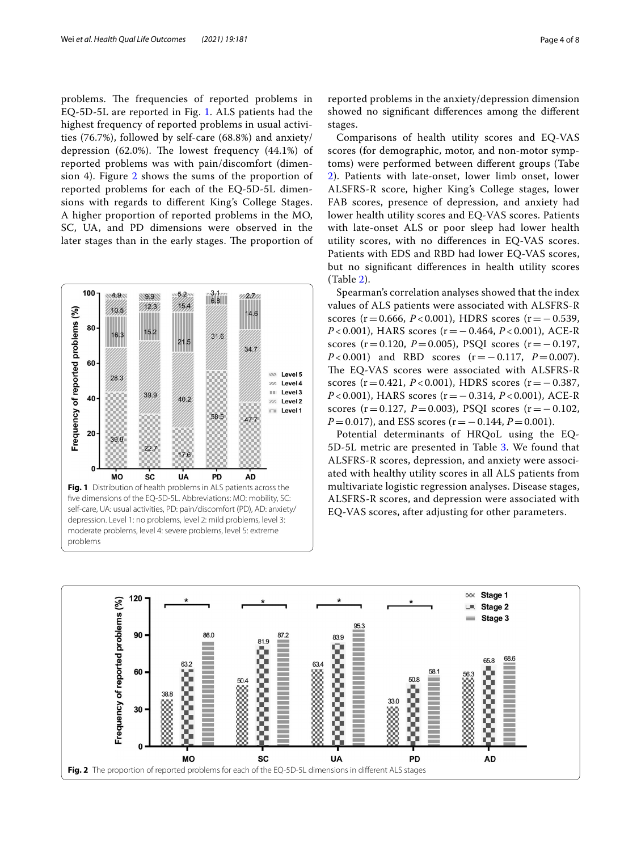problems. The frequencies of reported problems in EQ-5D-5L are reported in Fig. [1](#page-3-0). ALS patients had the highest frequency of reported problems in usual activities (76.7%), followed by self-care (68.8%) and anxiety/ depression (62.0%). The lowest frequency  $(44.1\%)$  of reported problems was with pain/discomfort (dimen-sion 4). Figure [2](#page-3-1) shows the sums of the proportion of reported problems for each of the EQ-5D-5L dimensions with regards to diferent King's College Stages. A higher proportion of reported problems in the MO, SC, UA, and PD dimensions were observed in the later stages than in the early stages. The proportion of



reported problems in the anxiety/depression dimension showed no signifcant diferences among the diferent stages.

Comparisons of health utility scores and EQ-VAS scores (for demographic, motor, and non-motor symptoms) were performed between diferent groups (Tabe [2\)](#page-4-0). Patients with late-onset, lower limb onset, lower ALSFRS-R score, higher King's College stages, lower FAB scores, presence of depression, and anxiety had lower health utility scores and EQ-VAS scores. Patients with late-onset ALS or poor sleep had lower health utility scores, with no diferences in EQ-VAS scores. Patients with EDS and RBD had lower EQ-VAS scores, but no signifcant diferences in health utility scores (Table [2\)](#page-4-0).

Spearman's correlation analyses showed that the index values of ALS patients were associated with ALSFRS-R scores ( $r = 0.666$ ,  $P < 0.001$ ), HDRS scores ( $r = -0.539$ , *P* < 0.001), HARS scores (r = − 0.464, *P* < 0.001), ACE-R scores (r=0.120, *P*=0.005), PSQI scores (r=−0.197, *P* < 0.001) and RBD scores (r = − 0.117, *P* = 0.007). The EQ-VAS scores were associated with ALSFRS-R scores ( $r = 0.421$ ,  $P < 0.001$ ), HDRS scores ( $r = -0.387$ , *P* < 0.001), HARS scores (r = − 0.314, *P* < 0.001), ACE-R scores ( $r=0.127$ ,  $P=0.003$ ), PSQI scores ( $r=-0.102$ , *P*=0.017), and ESS scores (r = −0.144, *P* = 0.001).

Potential determinants of HRQoL using the EQ-5D-5L metric are presented in Table [3.](#page-4-1) We found that ALSFRS-R scores, depression, and anxiety were associated with healthy utility scores in all ALS patients from multivariate logistic regression analyses. Disease stages, ALSFRS-R scores, and depression were associated with EQ-VAS scores, after adjusting for other parameters.

<span id="page-3-1"></span><span id="page-3-0"></span>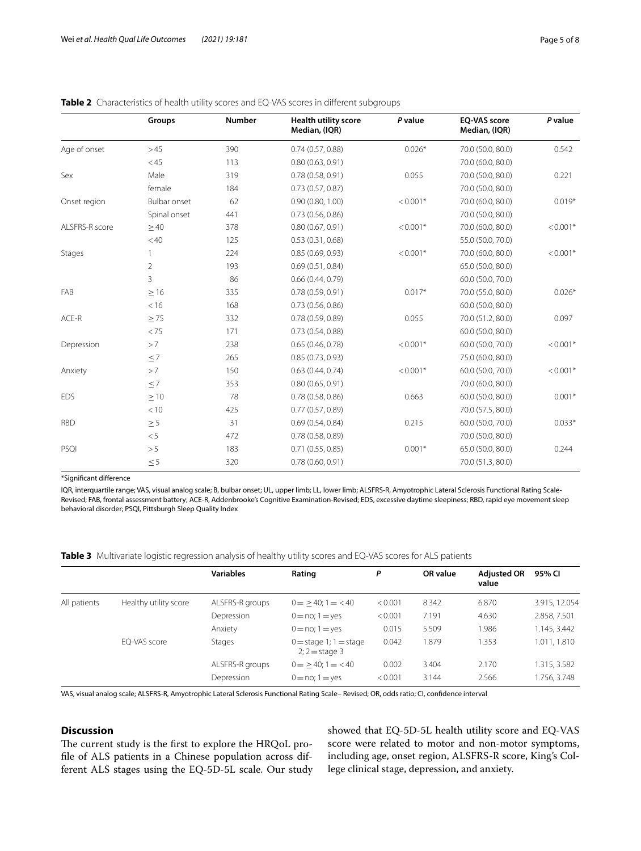|                | Groups         | <b>Number</b> | <b>Health utility score</b><br>Median, (IQR) | P value    | <b>EO-VAS score</b><br>Median, (IQR) | P value    |
|----------------|----------------|---------------|----------------------------------------------|------------|--------------------------------------|------------|
| Age of onset   | >45            | 390           | 0.74(0.57, 0.88)                             | $0.026*$   | 70.0 (50.0, 80.0)                    | 0.542      |
|                | $<$ 45         | 113           | 0.80(0.63, 0.91)                             |            | 70.0 (60.0, 80.0)                    |            |
| Sex            | Male           | 319           | 0.78(0.58, 0.91)                             | 0.055      | 70.0 (50.0, 80.0)                    | 0.221      |
|                | female         | 184           | 0.73(0.57, 0.87)                             |            | 70.0 (50.0, 80.0)                    |            |
| Onset region   | Bulbar onset   | 62            | 0.90(0.80, 1.00)                             | $< 0.001*$ | 70.0 (60.0, 80.0)                    | $0.019*$   |
|                | Spinal onset   | 441           | 0.73(0.56, 0.86)                             |            | 70.0 (50.0, 80.0)                    |            |
| ALSFRS-R score | >40            | 378           | 0.80(0.67, 0.91)                             | $< 0.001*$ | 70.0 (60.0, 80.0)                    | $< 0.001*$ |
|                | < 40           | 125           | 0.53(0.31, 0.68)                             |            | 55.0 (50.0, 70.0)                    |            |
| Stages         |                | 224           | 0.85(0.69, 0.93)                             | $< 0.001*$ | 70.0 (60.0, 80.0)                    | $< 0.001*$ |
|                | $\overline{2}$ | 193           | 0.69(0.51, 0.84)                             |            | 65.0 (50.0, 80.0)                    |            |
|                | 3              | 86            | 0.66(0.44, 0.79)                             |            | 60.0 (50.0, 70.0)                    |            |
| FAB            | $\geq 16$      | 335           | 0.78(0.59, 0.91)                             | $0.017*$   | 70.0 (55.0, 80.0)                    | $0.026*$   |
|                | < 16           | 168           | 0.73(0.56, 0.86)                             |            | 60.0 (50.0, 80.0)                    |            |
| ACE-R          | > 75           | 332           | 0.78(0.59, 0.89)                             | 0.055      | 70.0 (51.2, 80.0)                    | 0.097      |
|                | < 75           | 171           | 0.73(0.54, 0.88)                             |            | 60.0 (50.0, 80.0)                    |            |
| Depression     | >7             | 238           | 0.65(0.46, 0.78)                             | $< 0.001*$ | 60.0 (50.0, 70.0)                    | $< 0.001*$ |
|                | $\leq 7$       | 265           | 0.85(0.73, 0.93)                             |            | 75.0 (60.0, 80.0)                    |            |
| Anxiety        | >7             | 150           | 0.63(0.44, 0.74)                             | $< 0.001*$ | 60.0 (50.0, 70.0)                    | $< 0.001*$ |
|                | $\leq 7$       | 353           | 0.80(0.65, 0.91)                             |            | 70.0 (60.0, 80.0)                    |            |
| <b>EDS</b>     | $\geq 10$      | 78            | 0.78(0.58, 0.86)                             | 0.663      | 60.0 (50.0, 80.0)                    | $0.001*$   |
|                | < 10           | 425           | 0.77(0.57, 0.89)                             |            | 70.0 (57.5, 80.0)                    |            |
| <b>RBD</b>     | $\geq$ 5       | 31            | 0.69(0.54, 0.84)                             | 0.215      | 60.0 (50.0, 70.0)                    | $0.033*$   |
|                | < 5            | 472           | 0.78(0.58, 0.89)                             |            | 70.0 (50.0, 80.0)                    |            |
| PSQI           | >5             | 183           | $0.71$ $(0.55, 0.85)$                        | $0.001*$   | 65.0 (50.0, 80.0)                    | 0.244      |
|                | $\leq 5$       | 320           | 0.78(0.60, 0.91)                             |            | 70.0 (51.3, 80.0)                    |            |

## <span id="page-4-0"></span>**Table 2** Characteristics of health utility scores and EQ-VAS scores in different subgroups

\*Signifcant diference

IQR, interquartile range; VAS, visual analog scale; B, bulbar onset; UL, upper limb; LL, lower limb; ALSFRS-R, Amyotrophic Lateral Sclerosis Functional Rating Scale-Revised; FAB, frontal assessment battery; ACE-R, Addenbrooke's Cognitive Examination-Revised; EDS, excessive daytime sleepiness; RBD, rapid eye movement sleep behavioral disorder; PSQI, Pittsburgh Sleep Quality Index

<span id="page-4-1"></span>**Table 3** Multivariate logistic regression analysis of healthy utility scores and EQ-VAS scores for ALS patients

|              |                       | <b>Variables</b> | Rating                                        | P       | <b>OR</b> value | <b>Adjusted OR</b><br>value | 95% CI        |
|--------------|-----------------------|------------------|-----------------------------------------------|---------|-----------------|-----------------------------|---------------|
| All patients | Healthy utility score | ALSFRS-R groups  | $0 = 240$ ; $1 = 40$                          | < 0.001 | 8.342           | 6.870                       | 3.915, 12.054 |
|              |                       | Depression       | $0 = no; 1 = yes$                             | < 0.001 | 7.191           | 4.630                       | 2.858, 7.501  |
|              |                       | Anxiety          | $0 = no; 1 = yes$                             | 0.015   | 5.509           | .986                        | 1.145, 3.442  |
|              | EQ-VAS score          | Stages           | $0 =$ stage 1; $1 =$ stage<br>$2:2$ = stage 3 | 0.042   | .879            | 1.353                       | 1.011, 1.810  |
|              |                       | ALSFRS-R groups  | $0 = 240$ ; $1 = 40$                          | 0.002   | 3.404           | 2.170                       | 1.315, 3.582  |
|              |                       | Depression       | $0 = no; 1 = yes$                             | < 0.001 | 3.144           | 2.566                       | 1.756, 3.748  |

VAS, visual analog scale; ALSFRS-R, Amyotrophic Lateral Sclerosis Functional Rating Scale– Revised; OR, odds ratio; CI, confdence interval

## **Discussion**

The current study is the first to explore the HRQoL profle of ALS patients in a Chinese population across different ALS stages using the EQ-5D-5L scale. Our study showed that EQ-5D-5L health utility score and EQ-VAS score were related to motor and non-motor symptoms, including age, onset region, ALSFRS-R score, King's College clinical stage, depression, and anxiety.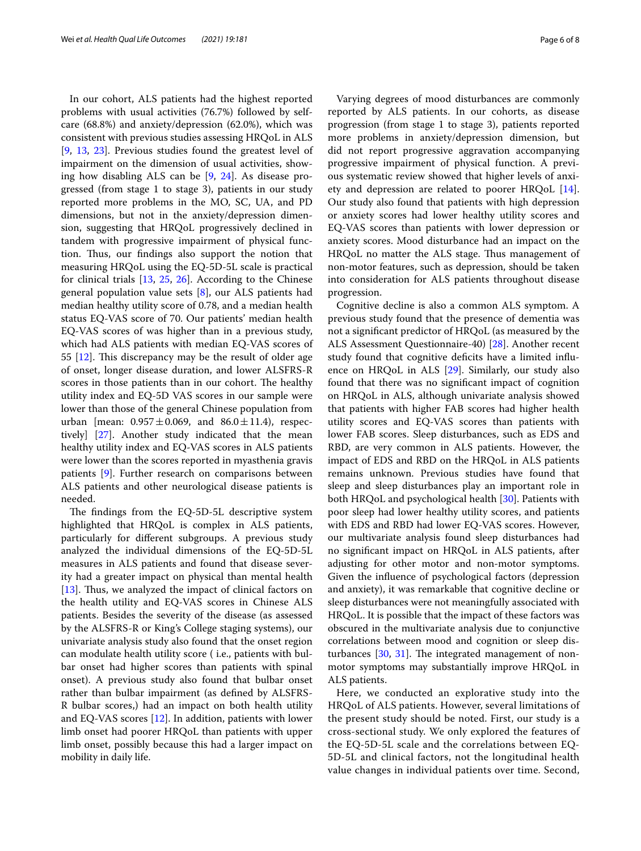In our cohort, ALS patients had the highest reported problems with usual activities (76.7%) followed by selfcare (68.8%) and anxiety/depression (62.0%), which was consistent with previous studies assessing HRQoL in ALS [[9,](#page-6-8) [13,](#page-6-11) [23\]](#page-7-8). Previous studies found the greatest level of impairment on the dimension of usual activities, showing how disabling ALS can be [[9,](#page-6-8) [24\]](#page-7-9). As disease progressed (from stage 1 to stage 3), patients in our study reported more problems in the MO, SC, UA, and PD dimensions, but not in the anxiety/depression dimension, suggesting that HRQoL progressively declined in tandem with progressive impairment of physical function. Thus, our findings also support the notion that measuring HRQoL using the EQ-5D-5L scale is practical for clinical trials [\[13](#page-6-11), [25,](#page-7-10) [26\]](#page-7-11). According to the Chinese general population value sets [[8\]](#page-6-7), our ALS patients had median healthy utility score of 0.78, and a median health status EQ-VAS score of 70. Our patients' median health EQ-VAS scores of was higher than in a previous study, which had ALS patients with median EQ-VAS scores of 55  $[12]$ . This discrepancy may be the result of older age of onset, longer disease duration, and lower ALSFRS-R scores in those patients than in our cohort. The healthy utility index and EQ-5D VAS scores in our sample were lower than those of the general Chinese population from urban [mean:  $0.957 \pm 0.069$ , and  $86.0 \pm 11.4$ ), respectively] [\[27](#page-7-12)]. Another study indicated that the mean healthy utility index and EQ-VAS scores in ALS patients were lower than the scores reported in myasthenia gravis patients [[9\]](#page-6-8). Further research on comparisons between ALS patients and other neurological disease patients is needed.

The findings from the  $EQ-5D-5L$  descriptive system highlighted that HRQoL is complex in ALS patients, particularly for diferent subgroups. A previous study analyzed the individual dimensions of the EQ-5D-5L measures in ALS patients and found that disease severity had a greater impact on physical than mental health [[13\]](#page-6-11). Thus, we analyzed the impact of clinical factors on the health utility and EQ-VAS scores in Chinese ALS patients. Besides the severity of the disease (as assessed by the ALSFRS-R or King's College staging systems), our univariate analysis study also found that the onset region can modulate health utility score ( i.e., patients with bulbar onset had higher scores than patients with spinal onset). A previous study also found that bulbar onset rather than bulbar impairment (as defned by ALSFRS-R bulbar scores,) had an impact on both health utility and EQ-VAS scores [\[12](#page-6-10)]. In addition, patients with lower limb onset had poorer HRQoL than patients with upper limb onset, possibly because this had a larger impact on mobility in daily life.

Varying degrees of mood disturbances are commonly reported by ALS patients. In our cohorts, as disease progression (from stage 1 to stage 3), patients reported more problems in anxiety/depression dimension, but did not report progressive aggravation accompanying progressive impairment of physical function. A previous systematic review showed that higher levels of anxiety and depression are related to poorer HRQoL [\[14](#page-6-12)]. Our study also found that patients with high depression or anxiety scores had lower healthy utility scores and EQ-VAS scores than patients with lower depression or anxiety scores. Mood disturbance had an impact on the HRQoL no matter the ALS stage. Thus management of non-motor features, such as depression, should be taken into consideration for ALS patients throughout disease progression.

Cognitive decline is also a common ALS symptom. A previous study found that the presence of dementia was not a signifcant predictor of HRQoL (as measured by the ALS Assessment Questionnaire-40) [[28](#page-7-13)]. Another recent study found that cognitive deficits have a limited influence on HRQoL in ALS [\[29\]](#page-7-14). Similarly, our study also found that there was no signifcant impact of cognition on HRQoL in ALS, although univariate analysis showed that patients with higher FAB scores had higher health utility scores and EQ-VAS scores than patients with lower FAB scores. Sleep disturbances, such as EDS and RBD, are very common in ALS patients. However, the impact of EDS and RBD on the HRQoL in ALS patients remains unknown. Previous studies have found that sleep and sleep disturbances play an important role in both HRQoL and psychological health [\[30](#page-7-15)]. Patients with poor sleep had lower healthy utility scores, and patients with EDS and RBD had lower EQ-VAS scores. However, our multivariate analysis found sleep disturbances had no signifcant impact on HRQoL in ALS patients, after adjusting for other motor and non-motor symptoms. Given the infuence of psychological factors (depression and anxiety), it was remarkable that cognitive decline or sleep disturbances were not meaningfully associated with HRQoL. It is possible that the impact of these factors was obscured in the multivariate analysis due to conjunctive correlations between mood and cognition or sleep disturbances  $[30, 31]$  $[30, 31]$  $[30, 31]$  $[30, 31]$  $[30, 31]$ . The integrated management of nonmotor symptoms may substantially improve HRQoL in ALS patients.

Here, we conducted an explorative study into the HRQoL of ALS patients. However, several limitations of the present study should be noted. First, our study is a cross-sectional study. We only explored the features of the EQ-5D-5L scale and the correlations between EQ-5D-5L and clinical factors, not the longitudinal health value changes in individual patients over time. Second,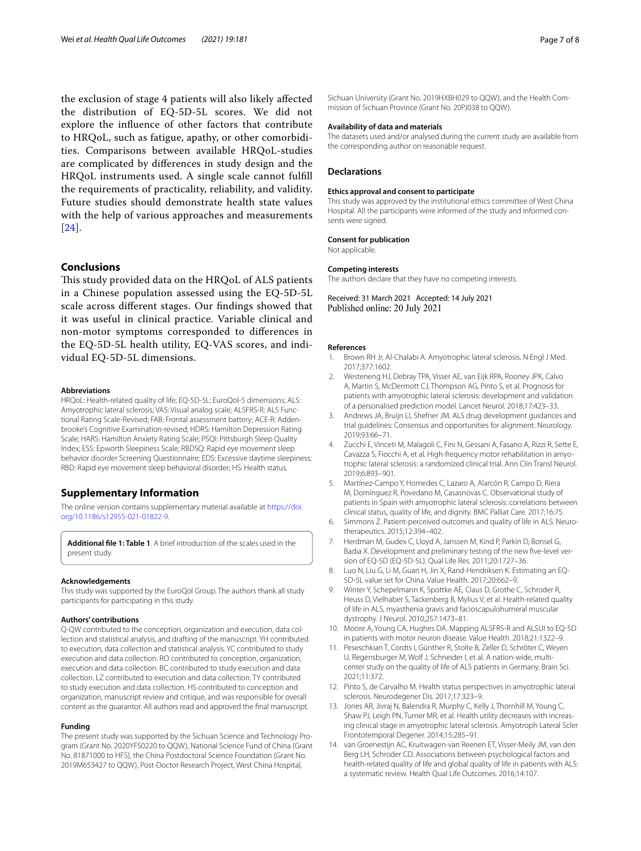the exclusion of stage 4 patients will also likely afected the distribution of EQ-5D-5L scores. We did not explore the infuence of other factors that contribute to HRQoL, such as fatigue, apathy, or other comorbidities. Comparisons between available HRQoL-studies are complicated by diferences in study design and the HRQoL instruments used. A single scale cannot fulfll the requirements of practicality, reliability, and validity. Future studies should demonstrate health state values with the help of various approaches and measurements [[24](#page-7-9)].

## **Conclusions**

This study provided data on the HRQoL of ALS patients in a Chinese population assessed using the EQ-5D-5L scale across diferent stages. Our fndings showed that it was useful in clinical practice. Variable clinical and non-motor symptoms corresponded to diferences in the EQ-5D-5L health utility, EQ-VAS scores, and individual EQ-5D-5L dimensions.

#### **Abbreviations**

HRQoL: Health-related quality of life; EQ-5D-5L: EuroQol-5 dimensions; ALS: Amyotrophic lateral sclerosis; VAS: Visual analog scale; ALSFRS-R: ALS Func‑ tional Rating Scale-Revised; FAB: Frontal assessment battery; ACE-R: Addenbrooke's Cognitive Examination-revised; HDRS: Hamilton Depression Rating Scale; HARS: Hamilton Anxiety Rating Scale; PSQI: Pittsburgh Sleep Quality Index; ESS: Epworth Sleepiness Scale; RBDSQ: Rapid eye movement sleep behavior disorder Screening Questionnaire; EDS: Excessive daytime sleepiness; RBD: Rapid eye movement sleep behavioral disorder; HS: Health status.

#### **Supplementary Information**

The online version contains supplementary material available at [https://doi.](https://doi.org/10.1186/s12955-021-01822-9) [org/10.1186/s12955-021-01822-9](https://doi.org/10.1186/s12955-021-01822-9).

<span id="page-6-13"></span>**Additional fle 1: Table 1**. A brief introduction of the scales used in the present study.

#### **Acknowledgements**

This study was supported by the EuroQol Group. The authors thank all study participants for participating in this study.

#### **Authors' contributions**

Q-QW contributed to the conception, organization and execution, data collection and statistical analysis, and drafting of the manuscript. YH contributed to execution, data collection and statistical analysis. YC contributed to study execution and data collection. RO contributed to conception, organization, execution and data collection. BC contributed to study execution and data collection. LZ contributed to execution and data collection. TY contributed to study execution and data collection. HS contributed to conception and organization, manuscript review and critique, and was responsible for overall content as the guarantor. All authors read and approved the fnal manuscript.

#### **Funding**

The present study was supported by the Sichuan Science and Technology Program (Grant No. 2020YFS0220 to QQW), National Science Fund of China (Grant No. 81871000 to HFS), the China Postdoctoral Science Foundation (Grant No. 2019M653427 to QQW), Post-Doctor Research Project, West China Hospital,

Sichuan University (Grant No. 2019HXBH029 to QQW), and the Health Commission of Sichuan Province (Grant No. 20PJ038 to QQW).

#### **Availability of data and materials**

The datasets used and/or analysed during the current study are available from the corresponding author on reasonable request.

#### **Declarations**

#### **Ethics approval and consent to participate**

This study was approved by the institutional ethics committee of West China Hospital. All the participants were informed of the study and informed consents were signed.

#### **Consent for publication**

Not applicable.

#### **Competing interests**

The authors declare that they have no competing interests.

Received: 31 March 2021 Accepted: 14 July 2021 Published online: 20 July 2021

#### **References**

- <span id="page-6-0"></span>Brown RH Jr, Al-Chalabi A. Amyotrophic lateral sclerosis. N Engl J Med. 2017;377:1602.
- <span id="page-6-1"></span>2. Westeneng HJ, Debray TPA, Visser AE, van Eijk RPA, Rooney JPK, Calvo A, Martin S, McDermott CJ, Thompson AG, Pinto S, et al. Prognosis for patients with amyotrophic lateral sclerosis: development and validation of a personalised prediction model. Lancet Neurol. 2018;17:423–33.
- <span id="page-6-2"></span>3. Andrews JA, Bruijn LI, Shefner JM. ALS drug development guidances and trial guidelines: Consensus and opportunities for alignment. Neurology. 2019;93:66–71.
- <span id="page-6-3"></span>4. Zucchi E, Vinceti M, Malagoli C, Fini N, Gessani A, Fasano A, Rizzi R, Sette E, Cavazza S, Fiocchi A, et al. High-frequency motor rehabilitation in amyotrophic lateral sclerosis: a randomized clinical trial. Ann Clin Transl Neurol. 2019;6:893–901.
- <span id="page-6-4"></span>5. Martínez-Campo Y, Homedes C, Lazaro A, Alarcón R, Campo D, Riera M, Domínguez R, Povedano M, Casasnovas C. Observational study of patients in Spain with amyotrophic lateral sclerosis: correlations between clinical status, quality of life, and dignity. BMC Palliat Care. 2017;16:75.
- <span id="page-6-5"></span>6. Simmons Z. Patient-perceived outcomes and quality of life in ALS. Neurotherapeutics. 2015;12:394–402.
- <span id="page-6-6"></span>7. Herdman M, Gudex C, Lloyd A, Janssen M, Kind P, Parkin D, Bonsel G, Badia X. Development and preliminary testing of the new five-level version of EQ-5D (EQ-5D-5L). Qual Life Res. 2011;20:1727–36.
- <span id="page-6-7"></span>8. Luo N, Liu G, Li M, Guan H, Jin X, Rand-Hendriksen K. Estimating an EQ-5D-5L value set for China. Value Health. 2017;20:662–9.
- <span id="page-6-8"></span>9. Winter Y, Schepelmann K, Spottke AE, Claus D, Grothe C, Schroder R, Heuss D, Vielhaber S, Tackenberg B, Mylius V, et al. Health-related quality of life in ALS, myasthenia gravis and facioscapulohumeral muscular dystrophy. J Neurol. 2010;257:1473–81.
- 10. Moore A, Young CA, Hughes DA. Mapping ALSFRS-R and ALSUI to EQ-5D in patients with motor neuron disease. Value Health. 2018;21:1322–9.
- <span id="page-6-9"></span>11. Peseschkian T, Cordts I, Günther R, Stolte B, Zeller D, Schröter C, Weyen U, Regensburger M, Wolf J, Schneider I, et al. A nation-wide, multicenter study on the quality of life of ALS patients in Germany. Brain Sci. 2021;11:372.
- <span id="page-6-10"></span>12. Pinto S, de Carvalho M. Health status perspectives in amyotrophic lateral sclerosis. Neurodegener Dis. 2017;17:323–9.
- <span id="page-6-11"></span>13. Jones AR, Jivraj N, Balendra R, Murphy C, Kelly J, Thornhill M, Young C, Shaw PJ, Leigh PN, Turner MR, et al. Health utility decreases with increasing clinical stage in amyotrophic lateral sclerosis. Amyotroph Lateral Scler Frontotemporal Degener. 2014;15:285–91.
- <span id="page-6-12"></span>14. van Groenestijn AC, Kruitwagen-van Reenen ET, Visser-Meily JM, van den Berg LH, Schroder CD. Associations between psychological factors and health-related quality of life and global quality of life in patients with ALS: a systematic review. Health Qual Life Outcomes. 2016;14:107.